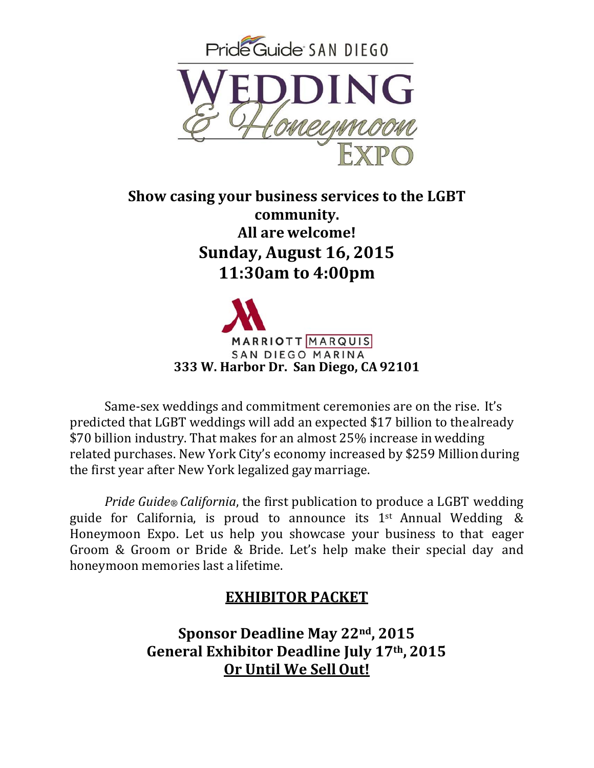

**Show casing your business services to the LGBT community. All are welcome! Sunday, August 16, 2015 11:30am to 4:00pm**



Same-sex weddings and commitment ceremonies are on the rise. It's predicted that LGBT weddings will add an expected \$17 billion to the already \$70 billion industry. That makes for an almost 25% increase in wedding related purchases. New York City's economy increased by \$259 Million during the first year after New York legalized gay marriage.

*Pride Guide California*, the first publication to produce a LGBT wedding guide for California, is proud to announce its  $1<sup>st</sup>$  Annual Wedding & Honeymoon Expo. Let us help you showcase your business to that eager Groom & Groom or Bride & Bride. Let's help make their special day and honeymoon memories last a lifetime.

### **EXHIBITOR PACKET**

**Sponsor Deadline May 22nd , 2015 General Exhibitor Deadline July 17th , 2015 Or Until We SellOut!**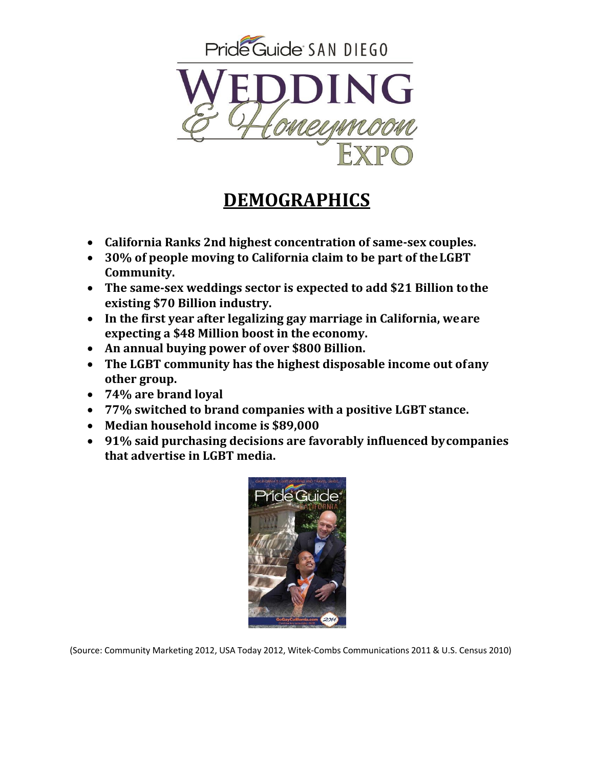

## **DEMOGRAPHICS**

- **California Ranks 2nd highest concentration of same‐sex couples.**
- **30% of people moving to California claim to be part of theLGBT Community.**
- **The same‐sex weddings sector is expected to add \$21 Billion tothe existing \$70 Billion industry.**
- **In the first year after legalizing gay marriage in California, weare expecting a \$48 Million boost in the economy.**
- **An annual buying power of over \$800 Billion.**
- **The LGBT community has the highest disposable income out ofany other group.**
- **74% are brand loyal**
- **77% switched to brand companies with a positive LGBT stance.**
- **Median household income is \$89,000**
- **91% said purchasing decisions are favorably influenced bycompanies that advertise in LGBT media.**



(Source: Community Marketing 2012, USA Today 2012, Witek‐Combs Communications 2011 & U.S. Census 2010)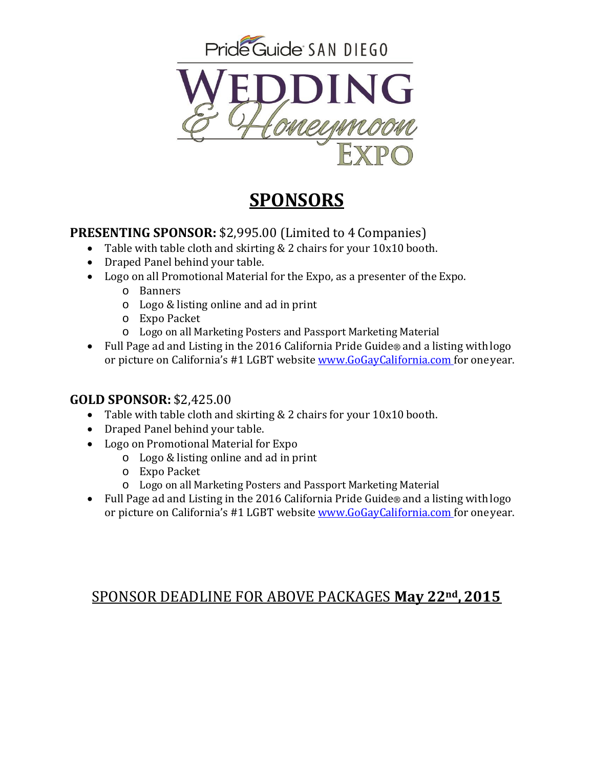

## **SPONSORS**

#### **PRESENTING SPONSOR: \$2,995.00 (Limited to 4 Companies)**

- Table with table cloth and skirting  $& 2$  chairs for your  $10x10$  booth.
- Draped Panel behind your table.
- Logo on all Promotional Material for the Expo, as a presenter of the Expo.
	- o Banners
	- $\circ$  Logo & listing online and ad in print
	- o Expo Packet
	- $\circ$  Logo on all Marketing Posters and Passport Marketing Material
- Full Page ad and Listing in the 2016 California Pride Guide® and a listing with logo or picture on California's #1 LGBT website www.GoGayCalifornia.com for one year.

#### **GOLD SPONSOR:** \$2,425.00

- Table with table cloth and skirting  $& 2$  chairs for your  $10x10$  booth.
- Draped Panel behind your table.
- Logo on Promotional Material for Expo
	- $\circ$  Logo & listing online and ad in print
	- o Expo Packet
	- $\circ$  Logo on all Marketing Posters and Passport Marketing Material
- Full Page ad and Listing in the 2016 California Pride Guide® and a listing with logo or picture on California's #1 LGBT website www.GoGayCalifornia.com for one year.

### SPONSOR DEADLINE FOR ABOVE PACKAGES **May 22nd , 2015**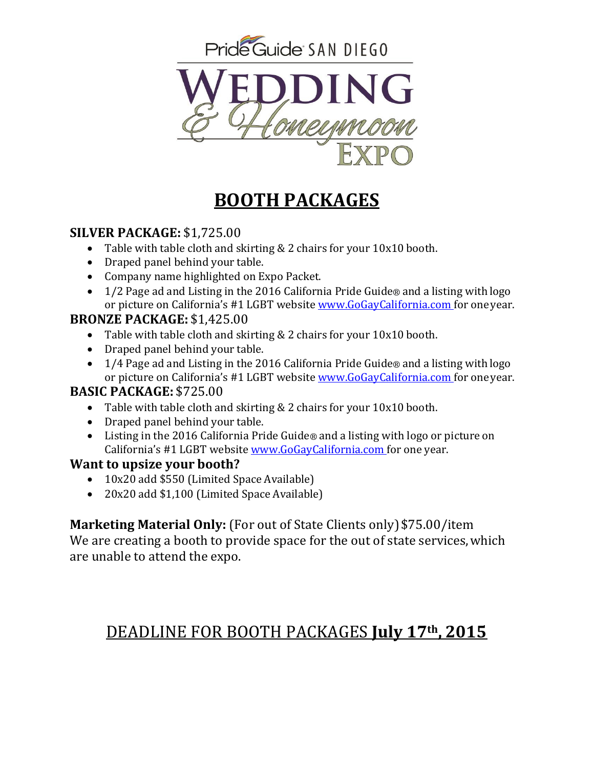

## **BOOTH PACKAGES**

#### **SILVER PACKAGE:** \$1,725.00

- Table with table cloth and skirting  $& 2$  chairs for your  $10x10$  booth.
- Draped panel behind your table.
- Company name highlighted on Expo Packet.
- 1/2 Page ad and Listing in the 2016 California Pride Guide® and a listing with logo or picture on California's #1 LGBT website www.GoGayCalifornia.com for one year.

#### **BRONZE PACKAGE:** \$1,425.00

- Table with table cloth and skirting  $& 2$  chairs for your  $10x10$  booth.
- Draped panel behind your table.
- 1/4 Page ad and Listing in the 2016 California Pride Guide® and a listing with logo or picture on California's #1 LGBT website **www.GoGayCalifornia.com** for one year.

#### **BASIC PACKAGE:** \$725.00

- Table with table cloth and skirting  $& 2$  chairs for your  $10x10$  booth.
- Draped panel behind your table.
- Eisting in the 2016 California Pride Guide® and a listing with logo or picture on California's #1 LGBT website www.GoGayCalifornia.com for one year.

#### **Want to upsize your booth?**

- 10x20 add \$550 (Limited Space Available)
- 20x20 add \$1,100 (Limited Space Available)

**Marketing Material Only:** (For out of State Clients only) \$75.00/item

We are creating a booth to provide space for the out of state services, which are unable to attend the expo.

### DEADLINE FOR BOOTH PACKAGES **July 17th , 2015**